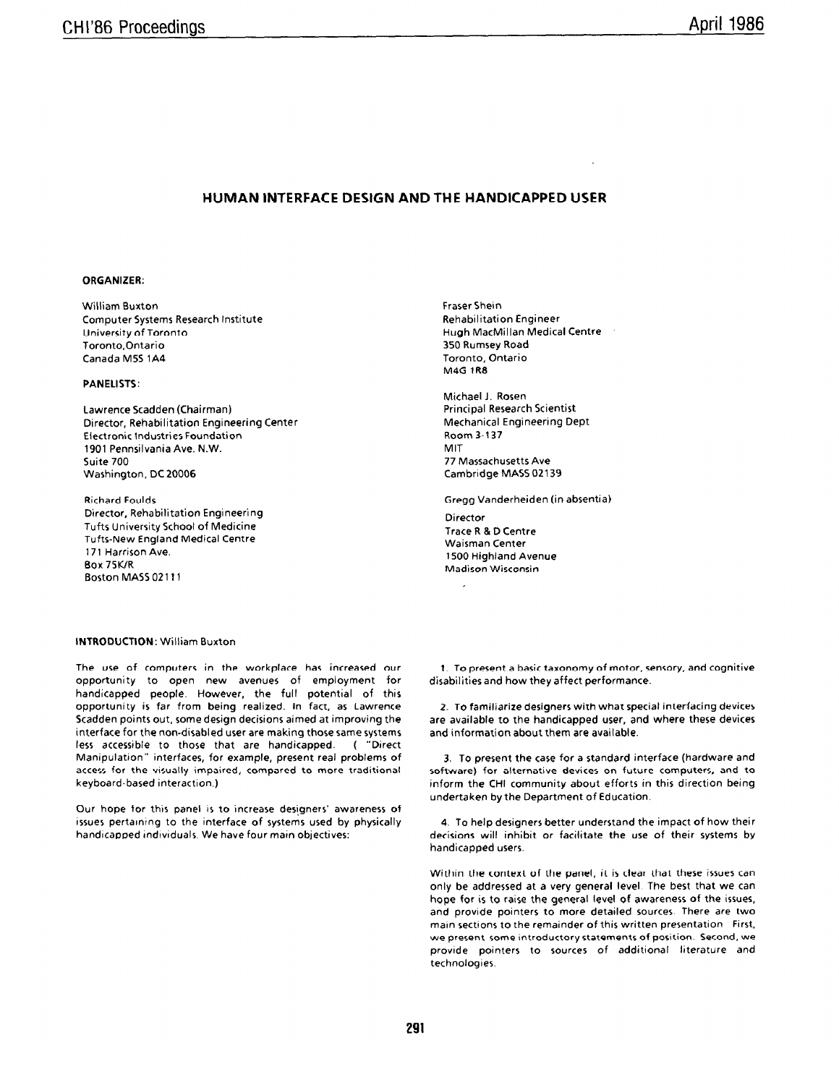# HUMAN INTERFACE DESIGN AND THE HANDICAPPED USER

## ORGANIZER:

William Buxton Computer Systems Research Institute University of Toronto Toronto,Ontario Canada M5S lA4

## PANELISTS:

Lawrence Scadden (Chairman) Director, Rehabilitation Engineering Center Electronic Industries Foundation 1901 Pennsilvania Ave. N.W. Suite 700 Washington, DC 20006

Richard Foulds Director, Rehabilitation Engineering Tufts University School of Medicine Tufts-New England Medical Centre 171 Harrison Ave. Box 75WR Boston MASS 02 111

Fraser Shein Rehabilitation Engineer Hugh MacMillan Medical Centre 350 Rumsey Road Toronto, Ontario M4G lR8

Michael J. Rosen Principal Research Scientist Mechanical Engineering Dept Room 3-137 MIT 77 Massachusetts Ave Cambridge MASS 02139

Gregg Vanderheiden (in absentia) Director Trace R &D Centre Waisman Center 1500 Highland Avenue Madison Wisconsin

## INTRODUCTION: William Buxton

The use of computers in the workplace has increased our opportunity to open new avenues of employment for handicapped people. However, the full potential of this opportunity is far from being realized. In fact, as Lawrence Scadden points out, some design decisions aimed at improving the interface for the non-disabled user are making those same systems less accessible to those that are handicapped. ( "Direct Manipulation" interfaces, for example, present real problems of access for the visually impaired, compared to more traditional keyboard-based interaction.)

Our hope for this panel is to increase designers' awareness of issues pertaining to the interface of systems used by physically handicapped indrviduals. We have four main objectives:

1. To present a basic taxonomy of motor, sensory, and cognitive disabilities and how they affect performance.

2. To familiarize designers with what special interfacing devices are available to the handicapped user, and where these devices and information about them are available.

3. To present the case for a standard interface (hardware and software) for alternative devices on future computers, and to inform the CHI community about efforts in this direction being undertaken by the Department of Education.

4. To help designers better understand the impact of how their decisions will inhibit or facilitate the use of their systems by handicapped users.

Within the context of the panel, it is clear that these issues can only be addressed at a very general level The best that we can hope for is to raise the general level of awareness of the issues, and provide pointers to more detailed sources There are two main sections to the remainder of this written presentation First, we present some introductory statements of position. Second, we provide pointers to sources of additional literature and technologies.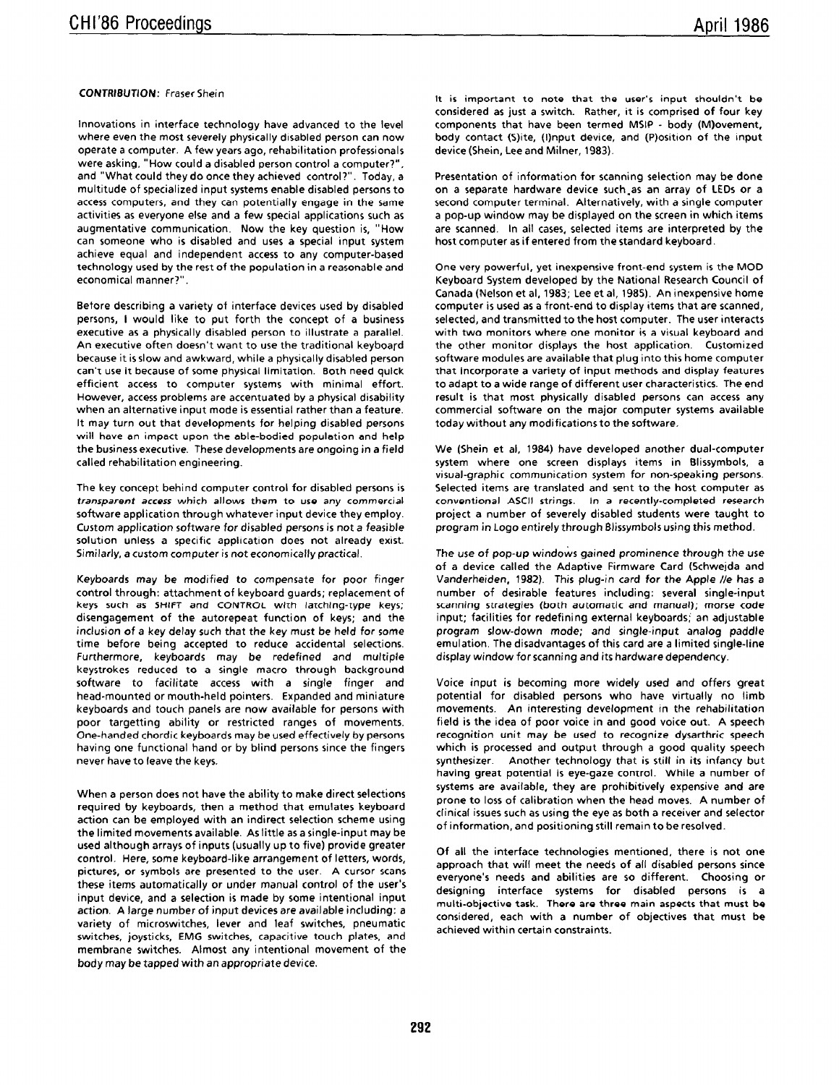## CONTRIBUTION: Fraser Shein

Innovations in interface technology have advanced to the level where even the most severely physically disabled person can now operate a computer. A few years ago, rehabilitation professionals were asking, "How could a disabled person control a computer?", and "What could they do once they achieved control?". Today, a multitude of specialized input systems enable disabled persons to access computers, and they can potentially engage in the same activities as everyone else and a few special applications such as augmentative communication. Now the key question is, "How can someone who is disabled and uses a special input system achieve equal and independent access to any computer-based technology used by the rest of the population in a reasonable and economical manner?".

Before describing a variety of interface devices used by disabled persons, I would like to put forth the concept of a business executive as a physically disabled person to illustrate a parallel. An executive often doesn't want to use the traditional keyboard because it isslow and awkward, while a physically disabled person can't use it because of some physical limitation. Both need quick efficient access to computer systems with minimal effort. However, access problems are accentuated by a physical disability when an alternative input mode is essential rather than a feature. It may turn out that developments for helping disabled persons will have an impact upon the able-bodied population and help the business executive. These developments are ongoing in a field called rehabilitation engineering.

The key concept behind computer control for disabled persons is transparent access which allows them to use any commercial software application through whatever input device they employ. Custom application software for disabled persons is not a feasible solution unless a specific application does not already exist. Similarly, a custom computer is not economically practical.

Keyboards may be modified to compensate for poor finger control through: attachment of keyboard guards; replacement of keys such as SHIFT and CONTROL with latching-type keys; disengagement of the autorepeat function of keys; and the inclusion of a key delay such that the key must be held for some time before being accepted to reduce accidental selections. Furthermore, keyboards may be redefined and multiple keystrokes reduced to a single macro through background software to facilitate access with a single finger and head-mounted or mouth-held pointers. Expanded and miniature keyboards and touch panels are now available for persons with poor targetting ability or restricted ranges of movements. One-handed chordic keyboards may be used effectively by persons having one functional hand or by blind persons since the fingers never have to leave the keys.

When a person does not have the ability to make direct selections required by keyboards, then a method that emulates keyboard action can be employed with an indirect selection scheme using the limited movements available. As little as a single-input may be used although arrays of inputs (usually up to five) provide greater control. Here, some keyboard-like arrangement of letters, words, pictures, or symbols are presented to the user. A cursor scans these items automatically or under manual control of the user's input device, and a selection is made by some intentional input action. A large number of input devices are available including: a variety of microswitches, lever and leaf switches, pneumatic switches, joysticks, EMG switches, capacitive touch plates, and membrane switches. Almost any intentional movement of the body may be tapped with an appropriate device.

It is important to note that the user's input shouldn't be considered as just a switch. Rather, it is comprised of four key components that have been termed MSIP - body (M)ovement, body contact (S)ite, (I)nput device, and (P)osition of the input device (Shein, Lee and Milner, 1983).

Presentation of information for scanning selection may be done on a separate hardware device such-as an array of LEDs or a second computer terminal. Alternatively, with a single computer a pop-up window may be displayed on the screen in which items are scanned. In all cases, selected items are interpreted by the host computer as if entered from the standard keyboard.

One very powerful, yet inexpensive front-end system is the MOD Keyboard System developed by the National Research Council of Canada (Nelson et al, 1983; Lee et al, 198s). An inexpensive home computer is used as a front-end to display items that are scanned, selected, and transmitted to the host computer. The user interacts with two monitors where one monitor is a visual keyboard and the other monitor displays the host application. Customized software modules are available that plug into this home computer that incorporate a variety of input methods and display features to adapt to a wide range of different user characteristics. The end result is that most physically disabled persons can access any commercial software on the major computer systems available today without any modificationsto the software.

We (Shein et al, 1984) have developed another dual-computer system where one screen displays items in Blissymbols, a visual-graphic communication system for non-speaking persons. Selected items are translated and sent to the host computer as conventional ASCII strings. In a recently-completed research project a number of severely disabled students were taught to program in Logo entirely through Blissymbols using this method.

The use of pop-up windows gained prominence through the use of a device called the Adaptive Firmware Card (Schwejda and Vanderheiden, 1982). This plug-in card for the Apple //e has a number of desirable features including: several single-input scanning strategies (both automatic and manual); morse code input; facilities for redefining external keyboards; an adjustable program slow-down mode; and single-input analog paddle emulation. The disadvantages of this card are a limited single-line display window for scanning and its hardware dependency.

Voice input is becoming more widely used and offers great potential for disabled persons who have virtually no limb movements. An interesting development in the rehabilitation field is the idea of poor voice in and good voice out. A speech recognition unit may be used to recognize dysarthric speech which is processed and output through a good quality speech synthesizer. Another technology that is still in its infancy but having great potential is eye-gaze control. While a number of systems are available, they are prohibitively expensive and are prone to loss of calibration when the head moves. A number of clinical issues such as using the eye as both a receiver and selector of information, and positioning still remain to be resolved.

Of all the interface technologies mentioned, there is not one approach that will meet the needs of all disabled persons since everyone's needs and abilities are so different. Choosing or designing interface systems for disabled persons is a multi-objective task. There are three main aspects that must be considered, each with a number of objectives that must be achieved within certain constraints.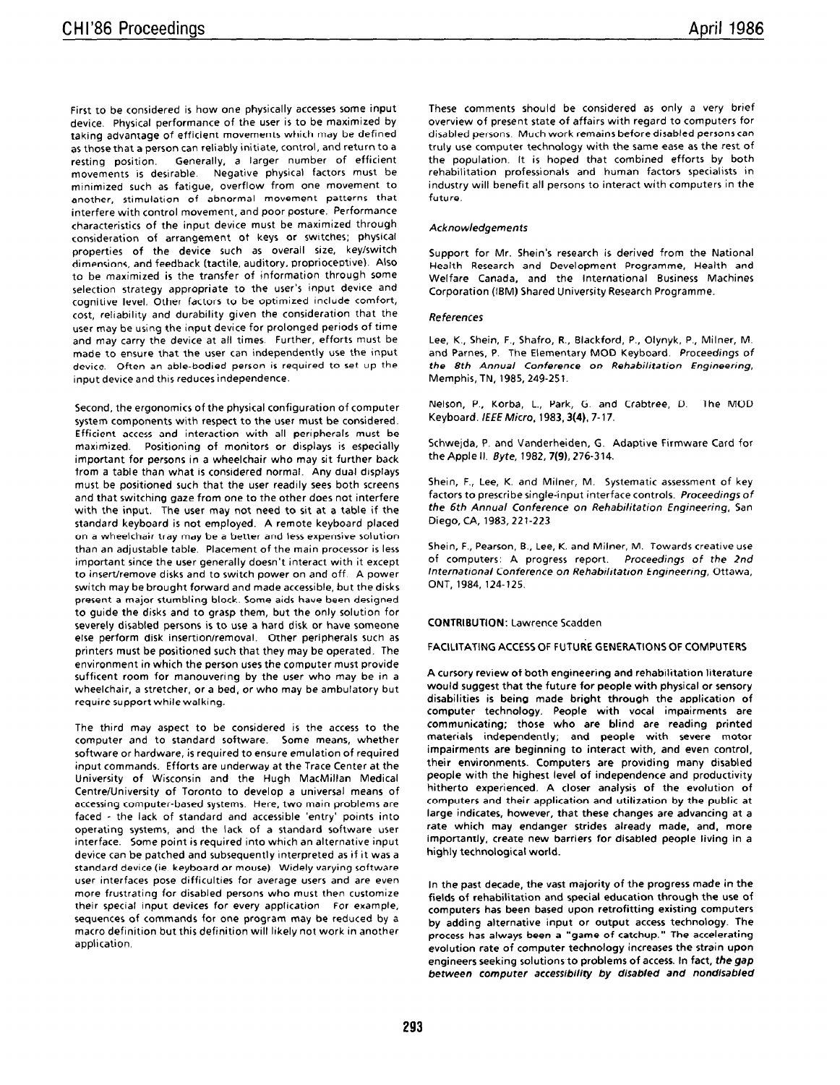First to be considered is how one physically accesses some input device. Physical performance of the user is to be maximized by taking advantage of efficient movements which may be defined as thosethat a person can reliably initiate, control, and return to a resting position. Generally, a larger number of efficient movements is desirable. Negative physical factors must be minimized such as fatigue, overflow from one movement to another, stimulation of abnormal movement patterns that interfere with control movement, and poor posture. Performance characteristics of the input device must be maximized through consideration of arrangement of keys or switches; physical properties of the device such as overall size, key/switch dimensions, and feedback (tactile, auditory, proprioceptive). Also to be maximized is the transfer of information through some selection strategy appropriate to the user's input device and cognitive level, Other factors to be optimized include comfort, cost, reliability and durability given the consideration that the user may be using the input device for prolonged periods of time and may carry the device at all times. Further, efforts must be made to ensure that the user can independently use the input device. Often an able-bodied person is required to set up the input device and this reduces independence.

Second, the ergonomics of the physical configuration of computer system components with respect to the user must be considered. Efficient access and interaction with all peripherals must be maximized. Positioning of monitors or displays is especially important for persons in a wheelchair who may sit further back from a table than what is considered normal. Any dual displays must be positioned such that the user readily sees both screens and that switching gaze from one to the other does not interfere with the input. The user may not need to sit at a table if the standard keyboard is not employed. A remote keyboard placed on a wheelchair tray may be a better and less expensive solution than an adjustable table. Placement of the main processor is less important since the user generally doesn't interact with it except to insert/remove disks and to switch power on and off. A power switch may be brought forward and made accessible, but the disks present a major stumbling block. Some aids have been designed to guide the disks and to grasp them, but the only solution for severely disabled persons is to use a hard disk or have someone else perform disk insertion/removal. Other peripherals such as printers must be positioned such that they may be operated. The environment in which the person uses the computer must provide sufficent room for manouvering by the user who may be in a wheelchair, a stretcher, or a bed, or who may be ambulatory but require support while walking.

The third may aspect to be considered is the access to the computer and to standard software. Some means, whether software or hardware, is required to ensure emulation of required input commands. Efforts are underway at the Trace Center at the University of Wisconsin and the Hugh MacMillan Medical Centre/University of Toronto to develop a universal means of accessing computer-based systems. Here, two main problems are faced - the lack of standard and accessible 'entry' points into operating systems, and the lack of a standard software user interface. Some point is required into which an alternative input device can be patched and subsequently interpreted as if it was a standard device (ie. keyboard or mouse). Widely varying software user interfaces pose difficulties for average users and are even more frustrating for disabled persons who must then customize their special input devices for every application For example, sequences of commands for one program may be reduced by a macro definition but this definition will likely not work in another application.

These comments should be considered as only a very brief overview of present state of affairs with regard to computers for disabled persons. Much work remains before disabled persons can truly use computer technology with the same ease as the rest of the population. It is hoped that combined efforts by both rehabilitation professionals and human factors specialists in industry will benefit all persons to interact with computers in the future.

## Acknowledgements

Support for Mr. Shein's research is derived from the National Health Research and Development Programme, Health and Welfare Canada, and the International Business Machines Corporation (IBM) Shared University Research Programme.

### References

Lee, K., Shein, F., Shafro, R., Blackford, P., Olynyk, P., Milner, M. and Parnes, P. The Elementary MOD Keyboard. Proceedings of the 8th Annual Conference on Rehabilitation Engineering, Memphis, TN, 1985, 249-251.

Nelson, P., Korba, L., Park, G. and Crabtree, D. The MOD Keyboard. IEEE Micro, 1983,3(4). 7- 17.

Schwejda, P. and Vanderheiden, G. Adaptive Firmware Card for the Apple Il. 8yte, 1982, 7(9), 276-314.

Shein, F., Lee, K. and Milner, M. Systematic assessment of key factors to prescribe single-input interface controls. Proceedings of the 6th Annual Conference on Rehabilitation Engineering. San Diego, CA, 1983,221-223

Shein, F., Pearson, B., Lee, K. and Milner, M. Towards creative use of computers: A progress report. Proceedings of the 2nd International Conference on Rehabilitation Engineering, Ottawa, ONT, 1984, 124-125.

#### CONTRIBUTION: Lawrence Scadden

#### FACILITATING ACCESS OF FUTURE GENERATIONS OF COMPUTERS

A cursory review of both engineering and rehabilitation literature would suggest that the future for people with physical or sensory disabilities is being made bright through the application of computer technology. People with vocal impairments are communicating; those who are blind are reading printed materials independently; and people with severe motor impairments are beginning to interact with, and even control, their environments. Computers are providing many disabled people with the highest level of independence and productivity hitherto experienced. A closer analysis of the evolution of computers and their application and utilization by the public at large indicates, however, that these changes are advancing at a rate which may endanger strides already made, and, more importantly, create new barriers for disabled people living in a highly technological world.

In the past decade, the vast majority of the progress made in the fields of rehabilitation and special education through the use of computers has been based upon retrofitting existing computers by adding alternative input or output access technology. The process has always been a "game of catchup." The accelerating evolution rate of computer technology increases the strain upon engineers seeking solutions to problems of access. In fact, the gap between computer accessibility by disabled and nondisabled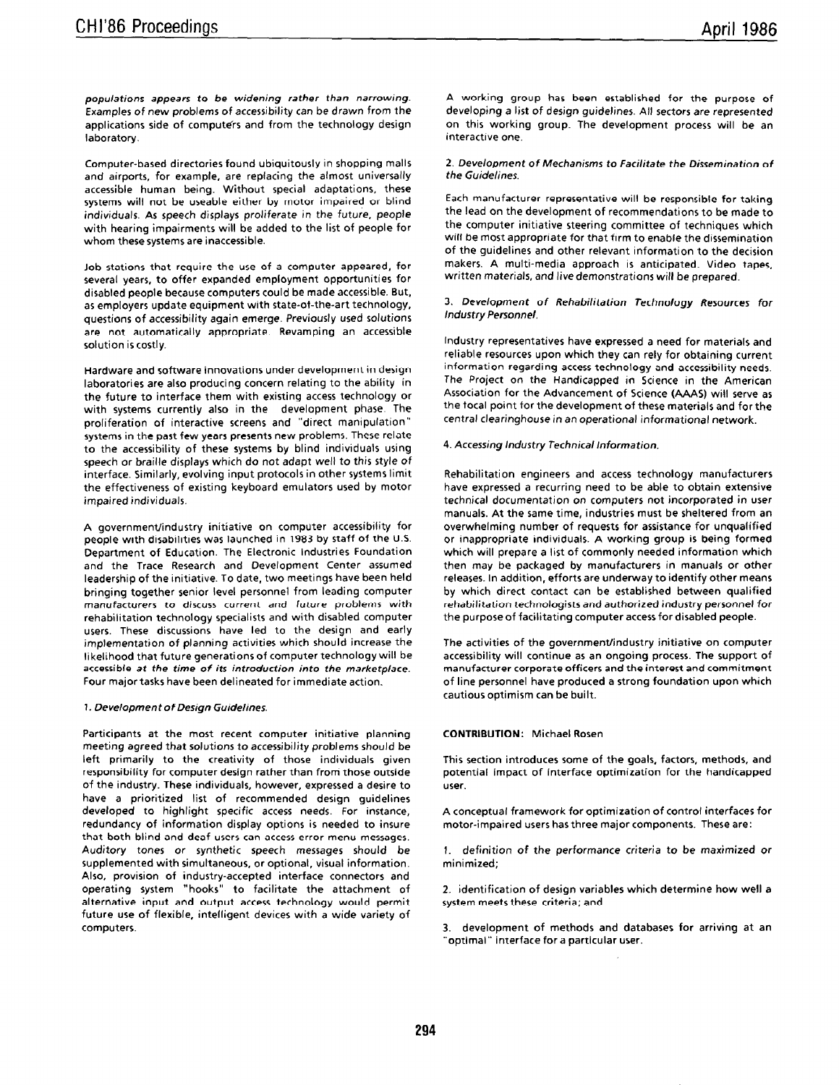populations appears to be widening rather than narrowing. Examples of new problems of accessibility can be drawn from the applications side of computers and from the technology design laboratory.

Computer-based directories found ubiquitously in shopping malls and airports, for example, are replacing the almost universally accessible human being. Without special adaptations, these systems will not be useable either by motor impaired or blind individuals. As speech displays proliferate in the future, people with hearing impairments will be added to the list of people for whom these systems are inaccessible.

Job stations that require the use of a computer appeared, for several years, to offer expanded employment opportunities for disabled people because computers could be made accessible. But, as employers update equipment with state-of-the-art technology, questions of accessibility again emerge. Previously used solutions are not automatically appropriate. Revamping an accessible solution is costly.

Hardware and software innovations under development in design laboratories are also producing concern relating to the ability in the future to interface them with existing access technology or with systems currently also in the development phase The proliferation of interactive screens and "direct manipulation" systems in the past few years presents new problems. These relate to the accessibility of these systems by blind individuais using speech or braille displays which do not adapt well to this style of interface. Similarly, evolving input protocols in other systems limit the effectiveness of existing keyboard emulators used by motor impaired individuals.

A government/industry initiative on computer accessibility for people with disabilities was launched in 1983 by staff of the U.S. Department of Education. The Electronic Industries Foundation and the Trace Research and Development Center assumed leadership of the initiative. To date, two meetings have been held bringing together senior level personnel from leading computer manufacturers to discuss current and future problems with rehabilitation technology specialists and with disabled computer users. These discussions have led to the design and early implementation of planning activities which should increase the likelihood that future generationsof computer technologywill be accessible at the time of its introduction into the marketplace. Four major tasks have been delineated for immediate action.

#### 1. Development of Design Guidelines.

Participants at the most recent computer initiative planning meeting agreed that solutions to accessibility problems should be left primarily to the creativity of those individuals given responsibility for computer design rather than from those outside of the industry. These individuals, however, expressed a desire to have a prioritized list of recommended design guidelines developed to highlight specific access needs. For instance, redundancy of information display options is needed to insure that both blind and deaf users can access error menu messages. Auditory tones or synthetic speech messages should be supplemented with simultaneous, or optional, visual information. Also, provision of industry-accepted interface connectors and operating system "hooks" to facilitate the attachment of alternative input and output access technology would permit future use of flexible, intelligent devices with a wide variety of computers.

A working group has been established for the purpose of developing a list of design guidelines. All sectors are represented on this working group. The development process will be an interactive one.

#### 2. Development of Mechanisms to Facilitate the Dissemination of the Guidelines.

Each manufacturer representative will be responsible for taking the lead on the development of recommendations to be made to the computer initiative steering committee of techniques which will be most appropriate for that firm to enable the dissemination of the guidelines and other relevant information to the decision makers. A multi-media approach is anticipated. Video tapes, written materials, and live demonstrations will be prepared.

#### 3. Development of Rehabilitation Technology Resources for Industry Personnel.

Industry representatives have expressed a need for materials and reliable resources upon which they can rely for obtaining current information regarding access technology and accessibility needs. The Project on the Handicapped in Science in the American Association for the Advancement of Science (AAAS) wiil serve as the focal point for the development of these materials and for the central clearinghouse in an operational informational network.

## 4. Accessing Industry Technical Information.

Rehabilitation engineers and access technology manufacturers have expressed a recurring need to be able to obtain extensive technical documentation on computers not incorporated in user manuals. At the same time, industries must be sheltered from an overwhelming number of requests for assistance for unqualified or inappropriate individuals. A working group is being formed which will prepare a list of commonly needed information which then may be packaged by manufacturers in manuals or other releases. In addition, efforts are underway to identify other means by which direct contact can be established between qualified rehabilitation technologists and authorized industry personnel for the purpose of facilitating computer access for disabled people.

The activities of the government/industry initiative on computer accessibility will continue as an ongoing process. The support of manufacturer corporate officers and the interest and commitment of line personnel have produced a strong foundation upon which cautious optimism can be built.

#### CONTRIBUTION: Michael Rosen

This section introduces some of the goals, factors, methods, and potential impact of interface optimization for the handicapped user.

A conceptual framework for optimization of control interfaces for motor-impaired users has three major components. These are:

1. definition of the performance criteria to be maximized or minimized;

2. identification of design variables which determine how well a system meets these criteria; and

3. development of methods and databases for arriving at an "optimal" interface for a particular user.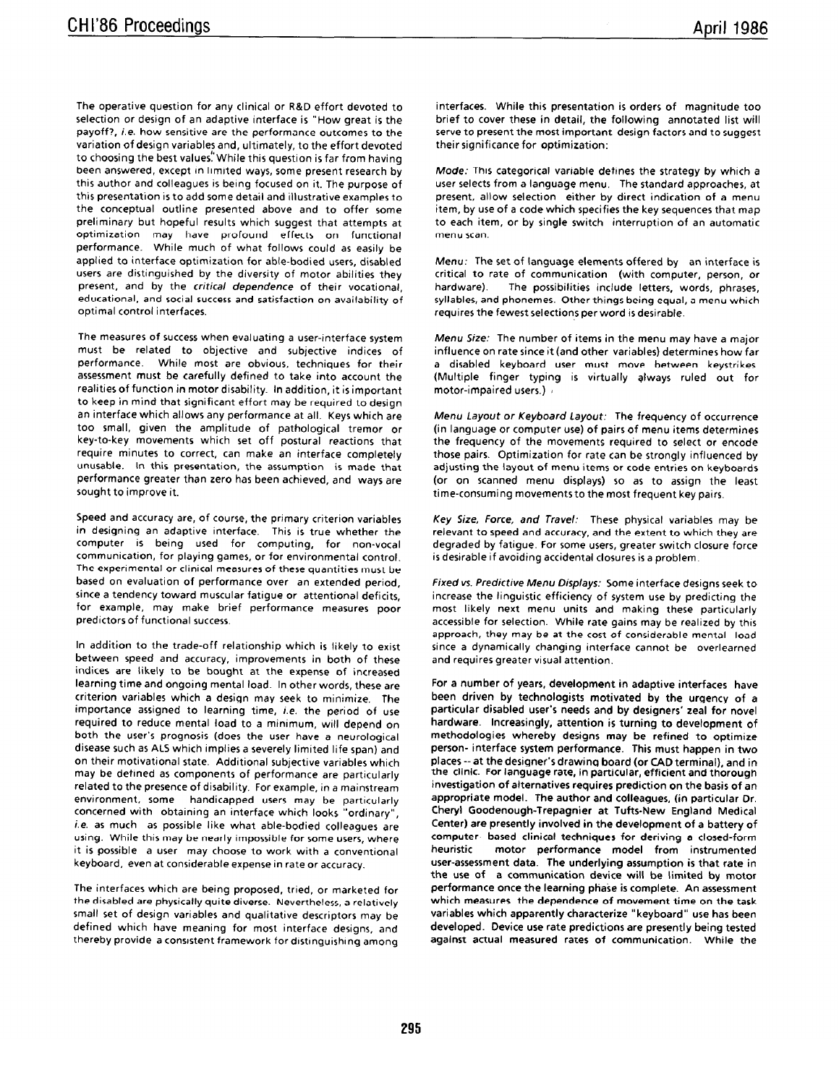The operative question for any clinical or R&D effort devoted to selection or design of an adaptive interface is "How great is the payoff?, i.e. how sensitive are the performance outcomes to the variation of design variables and, ultimately, to the effort devoted to choosing the best values. While this question is far from having been answered, except in limited ways, some present research by this author and colleagues is being focused on it. The purpose of this presentation is to add some detail and illustrative examples to the conceptual outline presented above and to offer some preliminary but hopeful results which suggest that attempts at optimization may have profound effects on functional performance. While much of what follows could as easily be applied to interface optimization for able-bodied users, disabled users are distinguished by the diversity of motor abilities they present, and by the critical dependence of their vocational, educational, and social success and satisfaction on availability of optimal control interfaces.

The measures of success when evaluating a user-interface system must be related to objective and subjective indices of performance. While most are obvious, techniques for their assessment must be carefully defined to take into account the realities of function in motor disability. In addition, it is important to keep in mind that significant effort may be required to design an interface which allows any performance at all. Keys which are too small, given the amplitude of pathological tremor or key-to-key movements which set off postural reactions that require minutes to correct, can make an interface completely unusable. In this presentation, the assumption is made that performance greater than zero has been achieved, and ways are sought to improve it.

Speed and accuracy are, of course, the primary criterion variables in designing an adaptive interface. This is true whether the computer is being used for computing, for non-vocal communication, for playing games, or for environmental control. The experimental or clinical measures of these quantities must be based on evaluation of performance over an extended period, since a tendency toward muscular fatigue or attentional deficits, for example, may make brief performance measures poor predictors of functional success.

In addition to the trade-off relationship which is likely to exist between speed and accuracy, improvements in both of these indices are likely to be bought at the expense of increased learning time and ongoing mental load. In other words, these are criterion variables which a design may seek to minimize. The importance assigned to learning time, i.e. the period of use required to reduce mental load to a minimum, will depend on both the user's prognosis (does the user have a neurological disease such as ALS which implies a severely limited life span) and on their motivational state. Additional subjective variables which may be defined as components of performance are particularly related to the presence of disability. For example, in a mainstream environment, some handicapped users may be particularly concerned with obtaining an interface which looks "ordinary", i.e. as much as possible like what able-bodied colleagues are using. While this may be nearly impossible for some users, where it is possible a user may choose to work with a conventional keyboard, even at considerable expense in rate or accuracy.

The interfaces which are being proposed, tried, or marketed for the disabled are physically quite diverse. Nevertheless, a relatively small set of design variables and qualitative descriptors may be defined which have meaning for most interface designs, and thereby provide a consistent framework for distinguishing among interfaces. While this presentation is orders of magnitude too brief to cover these in detail, the following annotated list will serve to present the most important design factors and to suggest their significance for optimization:

Mode: This categorical variable defines the strategy by which a user selects from a language menu. The standard approaches, at present, allow selection either by direct indication of a menu item, by use of a code which specifies the key sequences that map to each item, or by single switch interruption of an automatic menu scan.

Menu: The set of language elements offered by an interface is critical to rate of communication (with computer, person, or hardware). The possibilities include letters, words, phrases, syllables, and phonemes. Other things being equal, a menu which requires the fewest selections per word is desirable.

Menu Size: The number of items in the menu may have a major influence on ratesince it (and other variables) determines how far a disabled keyboard user must move between keystrikes. (Multiple finger typing is virtually always ruled out for motor-impaired users.)

Menu Layout or Keyboard Layout: The frequency of occurrence (in language or computer use) of pairs of menu items determines the frequency of the movements required to select or encode those pairs. Optimization for rate can be strongly influenced by adjusting the layout of menu items or code entries on keyboards (or on scanned menu displays) so as to assign the least time-consuming movementsto the most frequent key pairs.

Key Size, force, and Travel: These physical variables may be relevant to speed and accuracy, and the extent to which they are degraded by fatigue. For some users, greater switch closure force is desirable if avoiding accidental closures is a problem.

Fixed vs. Predictive Menu Displays: Some interface designs seek to increase the linguistic efficiency of system use by predicting the most likely next menu units and making these particularly accessible for selection. While rate gains may be realized by this approach, they may be at the cost of considerable mental load since a dynamically changing interface cannot be overlearned and requires greater visual attention.

For a number of years, development in adaptive interfaces have been driven by technologists motivated by the urgency of a particular disabled user's needs and by designers' zeal for novel hardware. Increasingly, attention is turning to development of methodologies whereby designs may be refined to optimize person- interface system performance. This must happen in two places--at the designer's drawinq board (or CAD terminal), and in the clinic. For language rate, in particular, efficient and thorough investigation of alternatives requires prediction on the basis of an appropriate model. The author and colleagues, (in particular Dr. Cheryl Goodenough-Trepagnier at Tufts-New England Medical Center) are presently involved in the development of a battery of computer- based clinical techniques for deriving a closed-form heuristic motor performance model from instrumented user-assessment data. The underlying assumption is that rate in the use of a communication device will be limited by motor performance once the learning phase is complete. An assessment which measures the dependence of movement time on the task variables which apparently characterize "keyboard" use has been developed. Device use rate predictions are presently being tested against actual measured rates of communication. While the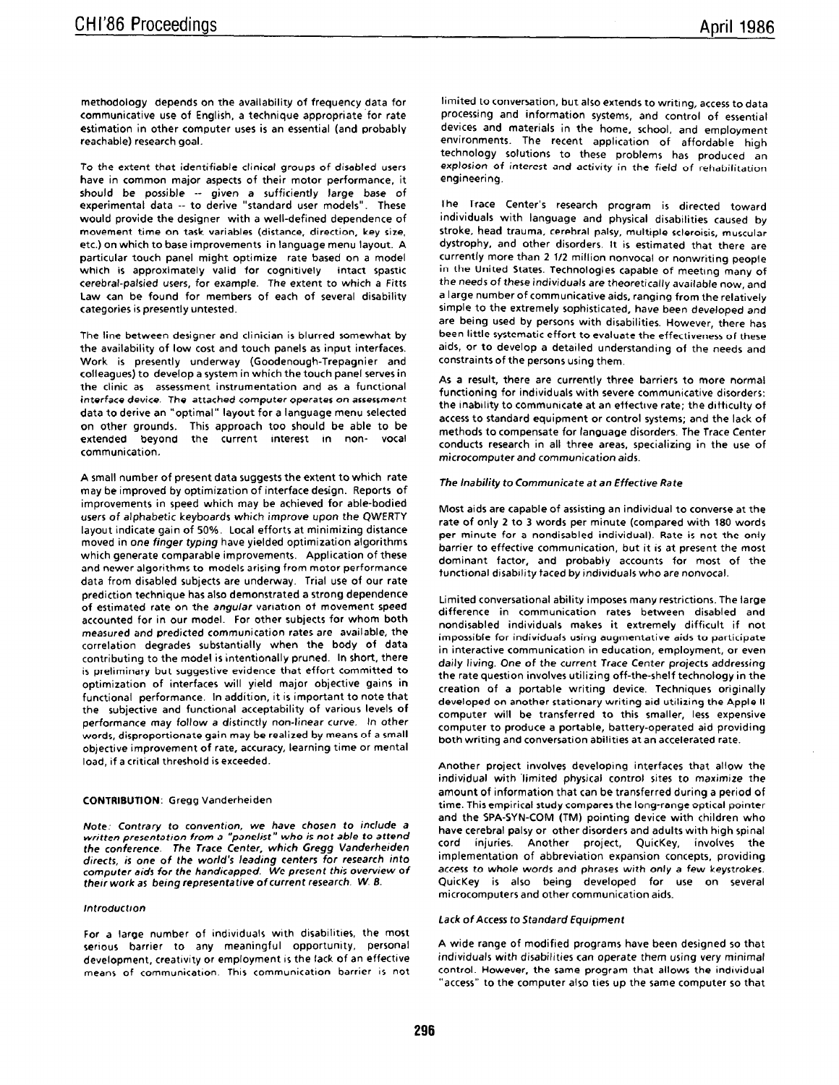methodology depends on the availability of frequency data for communicative use of English, a technique appropriate'for rate estimation in other computer uses is an essential (and probably reachable) research goal.

To the extent that identifiable clinical groups of disabled users have in common major aspects of their motor performance, it should be possible -- given a sufficiently large base of experimental data -- to derive "standard user models". These would provide the designer with a well-defined dependence of movement time on task variables (distance, direction, key size, etc.) on which to base improvements in language menu layout. A particular touch panel might optimize rate based on a model which is approximately valid for cognitively intact spastic cerebral-palsied users, for example. The extent to which a Fitts Law can be found for members of each of several disability categories is presently untested.

The line between designer and clinician is blurred somewhat by the availability of low cost and touch panels as input interfaces. Work is presently underway (Goodenough-Trepagnier and colleagues) to develop a system in which the touch panel serves in the clinic as assessment instrumentation and as a functional interface device. The attached computer operates on assessment data to derive an "optimal" layout for a language menu selected on other grounds. This approach too should be able to be extended beyond the current interest in non- vocal communication.

A small number of present data suggests the extent to which rate may be improved by optimization of interface design. Reports of improvements in speed which may be achieved for able-bodied users of alphabetic keyboards which improve upon the QWERTY layout indicate gain of 50%. Local efforts at minimizing distance moved in one finger typing have yielded optimization algorithms which generate comparable improvements. Application of these and newer algorithms to models arising from motor performance data from disabled subjects are underway. Trial use of our rate prediction technique has also demonstrated a strong dependence of estimated rate on the angular variation of movement speed accounted for in our model. For other subjects for whom both measured and predicted communication rates are available, the correlation degrades substantially when the body of data contributing to the model is intentionally pruned. In short, there is preliminary but suggestive evidence that effort committed to optimization of interfaces will yield major objective gains in functional performance. In addition, it is important to note that the subjective and functional acceptability of various levels of performance may follow a distinctly non-linear curve. In other words, disproportionate gain may be realized by means of a small objective improvement of rate, accuracy, learning time or mental load, if a critical threshold isexceeded.

## CONTRIBUTION: Gregg Vanderheiden

Note: Contrary to convention, we have chosen to include a written presentation from a "panelist" who is not able to attend the conference. The Trace Center, which Gregg Vanderheiden directs, is one of the wodd's leading centers for research into computer aids for the handicapped. We present this overview of their work as being representative of current research. W. B.

#### **Introduction**

For a large number of individuals with disabilities, the most serious barrier to any meaningful opportunity, personal development, creativity or employment is the tack of an effective means of communication. This communication barrier is not

limited to conversation, but also extends to writing, access to data Processing and information systems, and control of essential devices and materials in the home, school, and employment environments. The recent application of affordable high technology solutions to these problems has produced an explosion of interest and activity in the field of rehabilitation engineering.

The Trace Center's research program is directed toward individuals with language and physical disabilities caused by stroke, head trauma, cerebral palsy, multiple scleroisis, muscular dystrophy, and other disorders. It is estimated that there are currently more than 2 112 million nonvocal or nonwriting people in the United States. Technologies capable of meeting many of the needs of these individuals are theoretically available now, and a large number of communicative aids, ranging from the relatively simple to the extremely sophisticated, have been developed and are being used by persons with disabilities. However, there has been little systematic effort to evaluate the effectiveness of these aids, or to develop a detailed understanding of the needs and constraints of the persons using them.

As a result, there are currently three barriers to more normal functioning for individuals with severe communicative disorders: the inability to communicate at an effective rate; the difficulty of access to standard equipment or control systems; and the lack of methods to compensate for language disorders. The Trace Center conducts research in all three areas, specializing in the use of microcomputer and communication aids.

# The inability to Communicate at an Effective Rate

Most aids are capable of assisting an individual to converse at the rate of only 2 to 3 words per minute (compared with 180 words per minute for a nondisabled individual). Rate is not the only barrier to effective communication, but it is at present the most dominant factor, and probably accounts for most of the functional disability faced by individuals who are nonvocal.

Limited conversational ability imposes many restrictions. The large difference in communication rates between disabled and nondisabled individuals makes it extremely difficult if not impossible for individuals using augmentative aids to participate in interactive communication in education, employment, or even daily living. One of the current Trace Center projects addressing the rate question involves utilizing off-the-shelf technology in the creation of a portable writing device. Techniques originally developed on another stationary writing aid utilizing the Apple II computer will be transferred to this smaller, less expensive computer to produce a portable, battery-operated aid providing both writing and conversation abilities at an accelerated rate.

Another project involves developing interfaces that allow the individual with 'limited physical control sites to maximize the amount of information that can be transferred during a period of time. This empirical study compares the long-range optical pointer and the SPA-SYN-COM (TM) pointing device with children who have cerebral palsy or other disorders and adults with high spinal cord injuries. Another project, QuicKey, involves the implementation of abbreviation expansion concepts, providing access to whole words and phrases with only a few keystrokes. QuicKey is also being developed for use on several microcomputers and other communication aids.

# lack of Access to Standard Equipment

A wide range of modified programs have been designed so that individuals with disabilities can operate them using very minimal control. However, the same program that allows the individual "access" to the computer also ties up the same computer so that